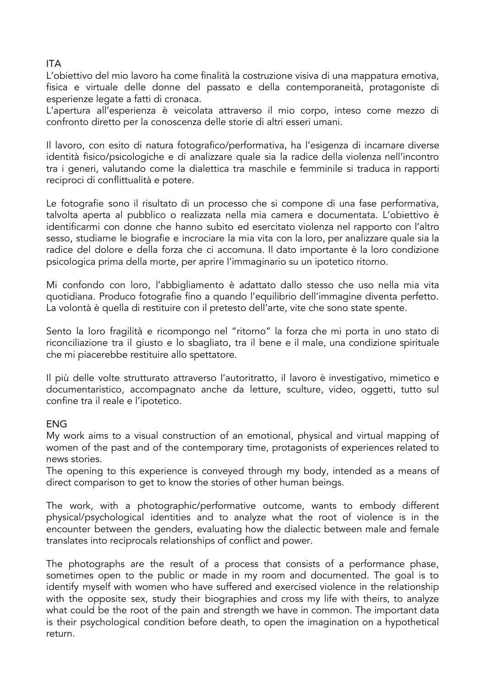## ITA

L'obiettivo del mio lavoro ha come finalità la costruzione visiva di una mappatura emotiva, fisica e virtuale delle donne del passato e della contemporaneità, protagoniste di esperienze legate a fatti di cronaca.

L'apertura all'esperienza è veicolata attraverso il mio corpo, inteso come mezzo di confronto diretto per la conoscenza delle storie di altri esseri umani.

Il lavoro, con esito di natura fotografico/performativa, ha l'esigenza di incarnare diverse identità fisico/psicologiche e di analizzare quale sia la radice della violenza nell'incontro tra i generi, valutando come la dialettica tra maschile e femminile si traduca in rapporti reciproci di conflittualità e potere.

Le fotografie sono il risultato di un processo che si compone di una fase performativa, talvolta aperta al pubblico o realizzata nella mia camera e documentata. L'obiettivo è identificarmi con donne che hanno subito ed esercitato violenza nel rapporto con l'altro sesso, studiarne le biografie e incrociare la mia vita con la loro, per analizzare quale sia la radice del dolore e della forza che ci accomuna. Il dato importante è la loro condizione psicologica prima della morte, per aprire l'immaginario su un ipotetico ritorno.

Mi confondo con loro, l'abbigliamento è adattato dallo stesso che uso nella mia vita quotidiana. Produco fotografie fino a quando l'equilibrio dell'immagine diventa perfetto. La volontà è quella di restituire con il pretesto dell'arte, vite che sono state spente.

Sento la loro fragilità e ricompongo nel "ritorno" la forza che mi porta in uno stato di riconciliazione tra il giusto e lo sbagliato, tra il bene e il male, una condizione spirituale che mi piacerebbe restituire allo spettatore.

Il più delle volte strutturato attraverso l'autoritratto, il lavoro è investigativo, mimetico e documentaristico, accompagnato anche da letture, sculture, video, oggetti, tutto sul confine tra il reale e l'ipotetico.

## ENG

My work aims to a visual construction of an emotional, physical and virtual mapping of women of the past and of the contemporary time, protagonists of experiences related to news stories.

The opening to this experience is conveyed through my body, intended as a means of direct comparison to get to know the stories of other human beings.

The work, with a photographic/performative outcome, wants to embody different physical/psychological identities and to analyze what the root of violence is in the encounter between the genders, evaluating how the dialectic between male and female translates into reciprocals relationships of conflict and power.

The photographs are the result of a process that consists of a performance phase, sometimes open to the public or made in my room and documented. The goal is to identify myself with women who have suffered and exercised violence in the relationship with the opposite sex, study their biographies and cross my life with theirs, to analyze what could be the root of the pain and strength we have in common. The important data is their psychological condition before death, to open the imagination on a hypothetical return.